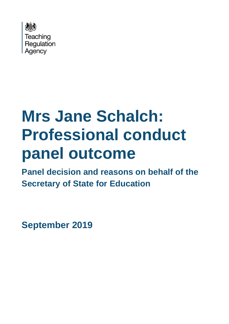

# **Mrs Jane Schalch: Professional conduct panel outcome**

**Panel decision and reasons on behalf of the Secretary of State for Education**

**September 2019**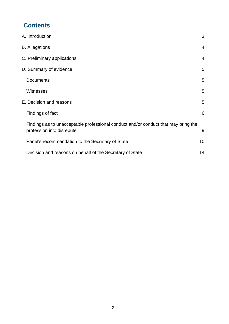# **Contents**

|                         | A. Introduction                                                                                                 | 3  |
|-------------------------|-----------------------------------------------------------------------------------------------------------------|----|
|                         | <b>B.</b> Allegations                                                                                           | 4  |
|                         | C. Preliminary applications                                                                                     | 4  |
| D. Summary of evidence  |                                                                                                                 | 5  |
|                         | <b>Documents</b>                                                                                                | 5  |
|                         | <b>Witnesses</b>                                                                                                | 5  |
| E. Decision and reasons |                                                                                                                 | 5  |
|                         | Findings of fact                                                                                                | 6  |
|                         | Findings as to unacceptable professional conduct and/or conduct that may bring the<br>profession into disrepute | 9  |
|                         | Panel's recommendation to the Secretary of State                                                                | 10 |
|                         | Decision and reasons on behalf of the Secretary of State                                                        | 14 |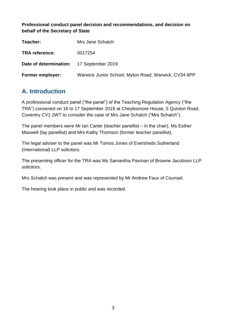**Professional conduct panel decision and recommendations, and decision on behalf of the Secretary of State**

| Teacher:                                 | Mrs Jane Schalch                                     |
|------------------------------------------|------------------------------------------------------|
| <b>TRA</b> reference:                    | 0017254                                              |
| Date of determination: 17 September 2019 |                                                      |
| <b>Former employer:</b>                  | Warwick Junior School, Myton Road, Warwick, CV34 6PP |

# <span id="page-2-0"></span>**A. Introduction**

A professional conduct panel ("the panel") of the Teaching Regulation Agency ("the TRA") convened on 16 to 17 September 2019 at Cheylesmore House, 5 Quinton Road, Coventry CV1 2WT to consider the case of Mrs Jane Schalch ("Mrs Schalch").

The panel members were Mr Ian Carter (teacher panellist – in the chair), Ms Esther Maxwell (lay panellist) and Mrs Kathy Thomson (former teacher panellist).

The legal adviser to the panel was Mr Tomos Jones of Eversheds Sutherland (International) LLP solicitors.

The presenting officer for the TRA was Ms Samantha Paxman of Browne Jacobson LLP solicitors.

Mrs Schalch was present and was represented by Mr Andrew Faux of Counsel.

The hearing took place in public and was recorded.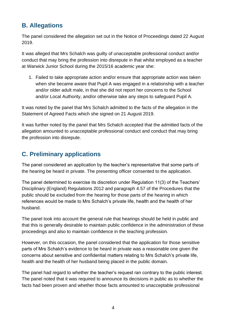# <span id="page-3-0"></span>**B. Allegations**

The panel considered the allegation set out in the Notice of Proceedings dated 22 August 2019.

It was alleged that Mrs Schalch was guilty of unacceptable professional conduct and/or conduct that may bring the profession into disrepute in that whilst employed as a teacher at Warwick Junior School during the 2015/16 academic year she:

1. Failed to take appropriate action and/or ensure that appropriate action was taken when she became aware that Pupil A was engaged in a relationship with a teacher and/or older adult male, in that she did not report her concerns to the School and/or Local Authority, and/or otherwise take any steps to safeguard Pupil A.

It was noted by the panel that Mrs Schalch admitted to the facts of the allegation in the Statement of Agreed Facts which she signed on 21 August 2019.

It was further noted by the panel that Mrs Schalch accepted that the admitted facts of the allegation amounted to unacceptable professional conduct and conduct that may bring the profession into disrepute.

# <span id="page-3-1"></span>**C. Preliminary applications**

The panel considered an application by the teacher's representative that some parts of the hearing be heard in private. The presenting officer consented to the application.

The panel determined to exercise its discretion under Regulation 11(3) of the Teachers' Disciplinary (England) Regulations 2012 and paragraph 4.57 of the Procedures that the public should be excluded from the hearing for those parts of the hearing in which references would be made to Mrs Schalch's private life, health and the health of her husband.

The panel took into account the general rule that hearings should be held in public and that this is generally desirable to maintain public confidence in the administration of these proceedings and also to maintain confidence in the teaching profession.

However, on this occasion, the panel considered that the application for those sensitive parts of Mrs Schalch's evidence to be heard in private was a reasonable one given the concerns about sensitive and confidential matters relating to Mrs Schalch's private life, health and the health of her husband being placed in the public domain.

The panel had regard to whether the teacher's request ran contrary to the public interest. The panel noted that it was required to announce its decisions in public as to whether the facts had been proven and whether those facts amounted to unacceptable professional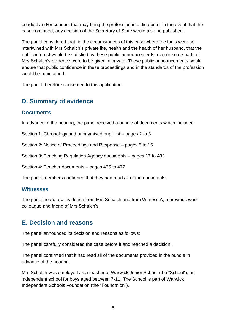conduct and/or conduct that may bring the profession into disrepute. In the event that the case continued, any decision of the Secretary of State would also be published.

The panel considered that, in the circumstances of this case where the facts were so intertwined with Mrs Schalch's private life, health and the health of her husband, that the public interest would be satisfied by these public announcements, even if some parts of Mrs Schalch's evidence were to be given in private. These public announcements would ensure that public confidence in these proceedings and in the standards of the profession would be maintained.

The panel therefore consented to this application.

# <span id="page-4-0"></span>**D. Summary of evidence**

## <span id="page-4-1"></span>**Documents**

In advance of the hearing, the panel received a bundle of documents which included:

Section 1: Chronology and anonymised pupil list – pages 2 to 3

Section 2: Notice of Proceedings and Response – pages 5 to 15

Section 3: Teaching Regulation Agency documents – pages 17 to 433

Section 4: Teacher documents – pages 435 to 477

The panel members confirmed that they had read all of the documents.

## <span id="page-4-2"></span>**Witnesses**

The panel heard oral evidence from Mrs Schalch and from Witness A, a previous work colleague and friend of Mrs Schalch's.

## <span id="page-4-3"></span>**E. Decision and reasons**

The panel announced its decision and reasons as follows:

The panel carefully considered the case before it and reached a decision.

The panel confirmed that it had read all of the documents provided in the bundle in advance of the hearing.

Mrs Schalch was employed as a teacher at Warwick Junior School (the "School"), an independent school for boys aged between 7-11. The School is part of Warwick Independent Schools Foundation (the "Foundation").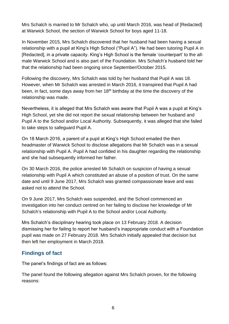Mrs Schalch is married to Mr Schalch who, up until March 2016, was head of [Redacted] at Warwick School, the section of Warwick School for boys aged 11-18.

In November 2015, Mrs Schalch discovered that her husband had been having a sexual relationship with a pupil at King's High School ("Pupil A"). He had been tutoring Pupil A in [Redacted], in a private capacity. King's High School is the female 'counterpart' to the allmale Warwick School and is also part of the Foundation. Mrs Schalch's husband told her that the relationship had been ongoing since September/October 2015.

Following the discovery, Mrs Schalch was told by her husband that Pupil A was 18. However, when Mr Schalch was arrested in March 2016, it transpired that Pupil A had been, in fact, some days away from her  $18<sup>th</sup>$  birthday at the time the discovery of the relationship was made.

Nevertheless, it is alleged that Mrs Schalch was aware that Pupil A was a pupil at King's High School, yet she did not report the sexual relationship between her husband and Pupil A to the School and/or Local Authority. Subsequently, it was alleged that she failed to take steps to safeguard Pupil A.

On 18 March 2016, a parent of a pupil at King's High School emailed the then headmaster of Warwick School to disclose allegations that Mr Schalch was in a sexual relationship with Pupil A. Pupil A had confided in his daughter regarding the relationship and she had subsequently informed her father.

On 30 March 2016, the police arrested Mr Schalch on suspicion of having a sexual relationship with Pupil A which constituted an abuse of a position of trust. On the same date and until 9 June 2017, Mrs Schalch was granted compassionate leave and was asked not to attend the School.

On 9 June 2017, Mrs Schalch was suspended, and the School commenced an investigation into her conduct centred on her failing to disclose her knowledge of Mr Schalch's relationship with Pupil A to the School and/or Local Authority.

Mrs Schalch's disciplinary hearing took place on 13 February 2018. A decision dismissing her for failing to report her husband's inappropriate conduct with a Foundation pupil was made on 27 February 2018. Mrs Schalch initially appealed that decision but then left her employment in March 2018.

## <span id="page-5-0"></span>**Findings of fact**

The panel's findings of fact are as follows:

The panel found the following allegation against Mrs Schalch proven, for the following reasons: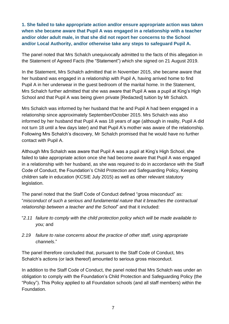**1. She failed to take appropriate action and/or ensure appropriate action was taken when she became aware that Pupil A was engaged in a relationship with a teacher and/or older adult male, in that she did not report her concerns to the School and/or Local Authority, and/or otherwise take any steps to safeguard Pupil A.**

The panel noted that Mrs Schalch unequivocally admitted to the facts of this allegation in the Statement of Agreed Facts (the "Statement") which she signed on 21 August 2019.

In the Statement, Mrs Schalch admitted that in November 2015, she became aware that her husband was engaged in a relationship with Pupil A, having arrived home to find Pupil A in her underwear in the guest bedroom of the marital home. In the Statement, Mrs Schalch further admitted that she was aware that Pupil A was a pupil at King's High School and that Pupil A was being given private [Redacted] tuition by Mr Schalch.

Mrs Schalch was informed by her husband that he and Pupil A had been engaged in a relationship since approximately September/October 2015. Mrs Schalch was also informed by her husband that Pupil A was 18 years of age (although in reality, Pupil A did not turn 18 until a few days later) and that Pupil A's mother was aware of the relationship. Following Mrs Schalch's discovery, Mr Schalch promised that he would have no further contact with Pupil A.

Although Mrs Schalch was aware that Pupil A was a pupil at King's High School, she failed to take appropriate action once she had become aware that Pupil A was engaged in a relationship with her husband, as she was required to do in accordance with the Staff Code of Conduct, the Foundation's Child Protection and Safeguarding Policy, Keeping children safe in education (KCSIE July 2015) as well as other relevant statutory legislation.

The panel noted that the Staff Code of Conduct defined "gross misconduct" as: "*misconduct of such a serious and fundamental nature that it breaches the contractual relationship between a teacher and the School*" and that it included:

- "*2.11 failure to comply with the child protection policy which will be made available to you;* and
- *2.19 failure to raise concerns about the practice of other staff, using appropriate channels*."

The panel therefore concluded that, pursuant to the Staff Code of Conduct, Mrs Schalch's actions (or lack thereof) amounted to serious gross misconduct.

In addition to the Staff Code of Conduct, the panel noted that Mrs Schalch was under an obligation to comply with the Foundation's Child Protection and Safeguarding Policy (the "Policy"). This Policy applied to all Foundation schools (and all staff members) within the Foundation.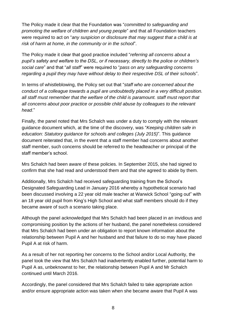The Policy made it clear that the Foundation was "*committed to safeguarding and promoting the welfare of children and young people*" and that all Foundation teachers were required to act on "*any suspicion or disclosure that may suggest that a child is at risk of harm at home, in the community or in the school*".

The Policy made it clear that good practice included "*referring all concerns about a pupil's safety and welfare to the DSL, or if necessary, directly to the police or children's social care*" and that "*all staff*" were required to "*pass on any safeguarding concerns regarding a pupil they may have without delay to their respective DSL of their schools*".

In terms of whistleblowing, the Policy set out that "*staff who are concerned about the conduct of a colleague towards a pupil are undoubtedly placed in a very difficult position. all staff must remember that the welfare of the child is paramount. staff must report that all concerns about poor practice or possible child abuse by colleagues to the relevant head*."

Finally, the panel noted that Mrs Schalch was under a duty to comply with the relevant guidance document which, at the time of the discovery, was "*Keeping children safe in education: Statutory guidance for schools and colleges (July 2015)*". This guidance document reiterated that, in the event that a staff member had concerns about another staff member, such concerns should be referred to the headteacher or principal of the staff member's school.

Mrs Schalch had been aware of these policies. In September 2015, she had signed to confirm that she had read and understood them and that she agreed to abide by them.

Additionally, Mrs Schalch had received safeguarding training from the School's Designated Safeguarding Lead in January 2016 whereby a hypothetical scenario had been discussed involving a 22 year old male teacher at Warwick School "going out" with an 18 year old pupil from King's High School and what staff members should do if they became aware of such a scenario taking place.

Although the panel acknowledged that Mrs Schalch had been placed in an invidious and compromising position by the actions of her husband, the panel nonetheless considered that Mrs Schalch had been under an obligation to report known information about the relationship between Pupil A and her husband and that failure to do so may have placed Pupil A at risk of harm.

As a result of her not reporting her concerns to the School and/or Local Authority, the panel took the view that Mrs Schalch had inadvertently enabled further, potential harm to Pupil A as, unbeknownst to her, the relationship between Pupil A and Mr Schalch continued until March 2016.

Accordingly, the panel considered that Mrs Schalch failed to take appropriate action and/or ensure appropriate action was taken when she became aware that Pupil A was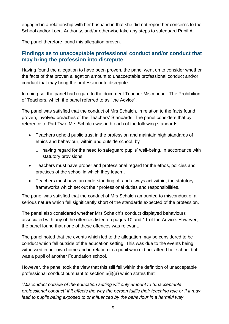engaged in a relationship with her husband in that she did not report her concerns to the School and/or Local Authority, and/or otherwise take any steps to safeguard Pupil A.

The panel therefore found this allegation proven.

## <span id="page-8-0"></span>**Findings as to unacceptable professional conduct and/or conduct that may bring the profession into disrepute**

Having found the allegation to have been proven, the panel went on to consider whether the facts of that proven allegation amount to unacceptable professional conduct and/or conduct that may bring the profession into disrepute.

In doing so, the panel had regard to the document Teacher Misconduct: The Prohibition of Teachers, which the panel referred to as "the Advice".

The panel was satisfied that the conduct of Mrs Schalch, in relation to the facts found proven, involved breaches of the Teachers' Standards. The panel considers that by reference to Part Two, Mrs Schalch was in breach of the following standards:

- Teachers uphold public trust in the profession and maintain high standards of ethics and behaviour, within and outside school, by
	- o having regard for the need to safeguard pupils' well-being, in accordance with statutory provisions;
- Teachers must have proper and professional regard for the ethos, policies and practices of the school in which they teach…
- Teachers must have an understanding of, and always act within, the statutory frameworks which set out their professional duties and responsibilities.

The panel was satisfied that the conduct of Mrs Schalch amounted to misconduct of a serious nature which fell significantly short of the standards expected of the profession.

The panel also considered whether Mrs Schalch's conduct displayed behaviours associated with any of the offences listed on pages 10 and 11 of the Advice. However, the panel found that none of these offences was relevant.

The panel noted that the events which led to the allegation may be considered to be conduct which fell outside of the education setting. This was due to the events being witnessed in her own home and in relation to a pupil who did not attend her school but was a pupil of another Foundation school.

However, the panel took the view that this still fell within the definition of unacceptable professional conduct pursuant to section 5(ii)(a) which states that:

"*Misconduct outside of the education setting will only amount to "unacceptable professional conduct" if it affects the way the person fulfils their teaching role or if it may lead to pupils being exposed to or influenced by the behaviour in a harmful way*."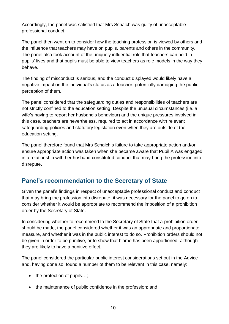Accordingly, the panel was satisfied that Mrs Schalch was guilty of unacceptable professional conduct.

The panel then went on to consider how the teaching profession is viewed by others and the influence that teachers may have on pupils, parents and others in the community. The panel also took account of the uniquely influential role that teachers can hold in pupils' lives and that pupils must be able to view teachers as role models in the way they behave.

The finding of misconduct is serious, and the conduct displayed would likely have a negative impact on the individual's status as a teacher, potentially damaging the public perception of them.

The panel considered that the safeguarding duties and responsibilities of teachers are not strictly confined to the education setting. Despite the unusual circumstances (i.e. a wife's having to report her husband's behaviour) and the unique pressures involved in this case, teachers are nevertheless, required to act in accordance with relevant safeguarding policies and statutory legislation even when they are outside of the education setting.

The panel therefore found that Mrs Schalch's failure to take appropriate action and/or ensure appropriate action was taken when she became aware that Pupil A was engaged in a relationship with her husband constituted conduct that may bring the profession into disrepute.

## <span id="page-9-0"></span>**Panel's recommendation to the Secretary of State**

Given the panel's findings in respect of unacceptable professional conduct and conduct that may bring the profession into disrepute, it was necessary for the panel to go on to consider whether it would be appropriate to recommend the imposition of a prohibition order by the Secretary of State.

In considering whether to recommend to the Secretary of State that a prohibition order should be made, the panel considered whether it was an appropriate and proportionate measure, and whether it was in the public interest to do so. Prohibition orders should not be given in order to be punitive, or to show that blame has been apportioned, although they are likely to have a punitive effect.

The panel considered the particular public interest considerations set out in the Advice and, having done so, found a number of them to be relevant in this case, namely:

- the protection of pupils...;
- the maintenance of public confidence in the profession; and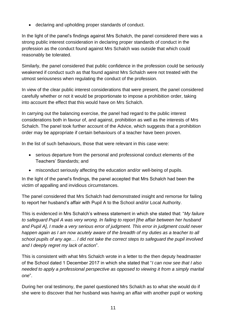• declaring and upholding proper standards of conduct.

In the light of the panel's findings against Mrs Schalch, the panel considered there was a strong public interest consideration in declaring proper standards of conduct in the profession as the conduct found against Mrs Schalch was outside that which could reasonably be tolerated.

Similarly, the panel considered that public confidence in the profession could be seriously weakened if conduct such as that found against Mrs Schalch were not treated with the utmost seriousness when regulating the conduct of the profession.

In view of the clear public interest considerations that were present, the panel considered carefully whether or not it would be proportionate to impose a prohibition order, taking into account the effect that this would have on Mrs Schalch.

In carrying out the balancing exercise, the panel had regard to the public interest considerations both in favour of, and against, prohibition as well as the interests of Mrs Schalch. The panel took further account of the Advice, which suggests that a prohibition order may be appropriate if certain behaviours of a teacher have been proven.

In the list of such behaviours, those that were relevant in this case were:

- serious departure from the personal and professional conduct elements of the Teachers' Standards; and
- misconduct seriously affecting the education and/or well-being of pupils.

In the light of the panel's findings, the panel accepted that Mrs Schalch had been the victim of appalling and invidious circumstances.

The panel considered that Mrs Schalch had demonstrated insight and remorse for failing to report her husband's affair with Pupil A to the School and/or Local Authority.

This is evidenced in Mrs Schalch's witness statement in which she stated that: "*My failure to safeguard Pupil A was very wrong. In failing to report [the affair between her husband and Pupil A], I made a very serious error of judgment. This error in judgment could never happen again as I am now acutely aware of the breadth of my duties as a teacher to all school pupils of any age*… *I did not take the correct steps to safeguard the pupil involved and I deeply regret my lack of action*".

This is consistent with what Mrs Schalch wrote in a letter to the then deputy headmaster of the School dated 1 December 2017 in which she stated that "*I can now see that I also needed to apply a professional perspective as opposed to viewing it from a simply marital one*".

During her oral testimony, the panel questioned Mrs Schalch as to what she would do if she were to discover that her husband was having an affair with another pupil or working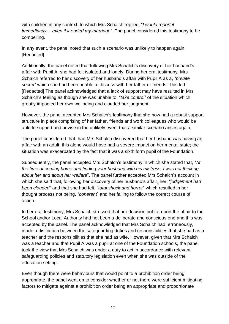with children in any context, to which Mrs Schalch replied, "*I would report it immediately… even if it ended my marriage*". The panel considered this testimony to be compelling.

In any event, the panel noted that such a scenario was unlikely to happen again, [Redacted]

Additionally, the panel noted that following Mrs Schalch's discovery of her husband's affair with Pupil A, she had felt isolated and lonely. During her oral testimony, Mrs Schalch referred to her discovery of her husband's affair with Pupil A as a, "*private secret*" which she had been unable to discuss with her father or friends. This led [Redacted] The panel acknowledged that a lack of support may have resulted in Mrs Schalch's feeling as though she was unable to, "*take control*" of the situation which greatly impacted her own wellbeing and clouded her judgment.

However, the panel accepted Mrs Schalch's testimony that she now had a robust support structure in place comprising of her father, friends and work colleagues who would be able to support and advise in the unlikely event that a similar scenario arises again.

The panel considered that, had Mrs Schalch discovered that her husband was having an affair with an adult, this alone would have had a severe impact on her mental state; the situation was exacerbated by the fact that it was a sixth form pupil of the Foundation.

Subsequently, the panel accepted Mrs Schalch's testimony in which she stated that, "*At the time of coming home and finding your husband with his mistress, I was not thinking about her and about her welfare*". The panel further accepted Mrs Schalch's account in which she said that, following her discovery of her husband's affair, her, "*judgement had been clouded*" and that she had felt, "*total shock and horror*" which resulted in her thought process not being, "*coherent*" and her failing to follow the correct course of action.

In her oral testimony, Mrs Schalch stressed that her decision not to report the affair to the School and/or Local Authority had not been a deliberate and conscious one and this was accepted by the panel. The panel acknowledged that Mrs Schalch had, erroneously, made a distinction between the safeguarding duties and responsibilities that she had as a teacher and the responsibilities that she had as wife. However, given that Mrs Schalch was a teacher and that Pupil A was a pupil at one of the Foundation schools, the panel took the view that Mrs Schalch was under a duty to act in accordance with relevant safeguarding policies and statutory legislation even when she was outside of the education setting.

Even though there were behaviours that would point to a prohibition order being appropriate, the panel went on to consider whether or not there were sufficient mitigating factors to mitigate against a prohibition order being an appropriate and proportionate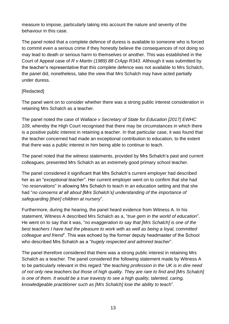measure to impose, particularly taking into account the nature and severity of the behaviour in this case.

The panel noted that a complete defence of duress is available to someone who is forced to commit even a serious crime if they honestly believe the consequences of not doing so may lead to death or serious harm to themselves or another. This was established in the Court of Appeal case of *R v Martin (1989) 88 CrApp R343*. Although it was submitted by the teacher's representative that this complete defence was not available to Mrs Schalch, the panel did, nonetheless, take the view that Mrs Schalch may have acted partially under duress.

#### **[Redacted]**

The panel went on to consider whether there was a strong public interest consideration in retaining Mrs Schalch as a teacher.

The panel noted the case of *Wallace v Secretary of State for Education [2017] EWHC 109*, whereby the High Court recognised that there may be circumstances in which there is a positive public interest in retaining a teacher. In that particular case, it was found that the teacher concerned had made an exceptional contribution to education, to the extent that there was a public interest in him being able to continue to teach.

The panel noted that the witness statements, provided by Mrs Schalch's past and current colleagues, presented Mrs Schalch as an extremely good primary school teacher.

The panel considered it significant that Mrs Schalch's current employer had described her as an "*exceptional teacher*". Her current employer went on to confirm that she had "*no reservations*" in allowing Mrs Schalch to teach in an education setting and that she had "*no concerns at all about [Mrs Schalch's] understanding of the importance of safeguarding [their] children at nursery*".

Furthermore, during the hearing, the panel heard evidence from Witness A. In his statement, Witness A described Mrs Schalch as a, "*true gem in the world of education*". He went on to say that it was, "*no exaggeration to say that [Mrs Schalch] is one of the best teachers I have had the pleasure to work with as well as being a loyal, committed colleague and friend*". This was echoed by the former deputy headmaster of the School who described Mrs Schalch as a "*hugely respected and admired teacher*".

The panel therefore considered that there was a strong public interest in retaining Mrs Schalch as a teacher. The panel considered the following statement made by Witness A to be particularly relevant in this regard "*the teaching profession in the UK is in dire need of not only new teachers but those of high quality. They are rare to find and [Mrs Schalch] is one of them. It would be a true travesty to see a high quality, talented, caring, knowledgeable practitioner such as [Mrs Schalch] lose the ability to teach*".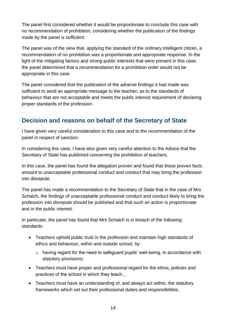The panel first considered whether it would be proportionate to conclude this case with no recommendation of prohibition, considering whether the publication of the findings made by the panel is sufficient.

The panel was of the view that, applying the standard of the ordinary intelligent citizen, a recommendation of no prohibition was a proportionate and appropriate response. In the light of the mitigating factors and strong public interests that were present in this case, the panel determined that a recommendation for a prohibition order would not be appropriate in this case.

The panel considered that the publication of the adverse findings it had made was sufficient to send an appropriate message to the teacher, as to the standards of behaviour that are not acceptable and meets the public interest requirement of declaring proper standards of the profession.

# <span id="page-13-0"></span>**Decision and reasons on behalf of the Secretary of State**

I have given very careful consideration to this case and to the recommendation of the panel in respect of sanction.

In considering this case, I have also given very careful attention to the Advice that the Secretary of State has published concerning the prohibition of teachers.

In this case, the panel has found the allegation proven and found that those proven facts amount to unacceptable professional conduct and conduct that may bring the profession into disrepute.

The panel has made a recommendation to the Secretary of State that in the case of Mrs Schalch, the findings of unacceptable professional conduct and conduct likely to bring the profession into disrepute should be published and that such an action is proportionate and in the public interest.

In particular, the panel has found that Mrs Schalch is in breach of the following standards:

- Teachers uphold public trust in the profession and maintain high standards of ethics and behaviour, within and outside school, by
	- o having regard for the need to safeguard pupils' well-being, in accordance with statutory provisions;
- Teachers must have proper and professional regard for the ethos, policies and practices of the school in which they teach…
- Teachers must have an understanding of, and always act within, the statutory frameworks which set out their professional duties and responsibilities.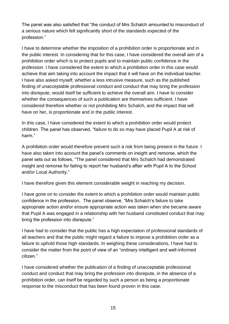The panel was also satisfied that "the conduct of Mrs Schalch amounted to misconduct of a serious nature which fell significantly short of the standards expected of the profession."

I have to determine whether the imposition of a prohibition order is proportionate and in the public interest. In considering that for this case, I have considered the overall aim of a prohibition order which is to protect pupils and to maintain public confidence in the profession. I have considered the extent to which a prohibition order in this case would achieve that aim taking into account the impact that it will have on the individual teacher. I have also asked myself, whether a less intrusive measure, such as the published finding of unacceptable professional conduct and conduct that may bring the profession into disrepute, would itself be sufficient to achieve the overall aim. I have to consider whether the consequences of such a publication are themselves sufficient. I have considered therefore whether or not prohibiting Mrs Schalch, and the impact that will have on her, is proportionate and in the public interest.

In this case, I have considered the extent to which a prohibition order would protect children. The panel has observed, "failure to do so may have placed Pupil A at risk of harm."

A prohibition order would therefore prevent such a risk from being present in the future. I have also taken into account the panel's comments on insight and remorse, which the panel sets out as follows, "The panel considered that Mrs Schalch had demonstrated insight and remorse for failing to report her husband's affair with Pupil A to the School and/or Local Authority."

I have therefore given this element considerable weight in reaching my decision.

I have gone on to consider the extent to which a prohibition order would maintain public confidence in the profession. The panel observe, "Mrs Schalch's failure to take appropriate action and/or ensure appropriate action was taken when she became aware that Pupil A was engaged in a relationship with her husband constituted conduct that may bring the profession into disrepute."

I have had to consider that the public has a high expectation of professional standards of all teachers and that the public might regard a failure to impose a prohibition order as a failure to uphold those high standards. In weighing these considerations, I have had to consider the matter from the point of view of an "ordinary intelligent and well-informed citizen."

I have considered whether the publication of a finding of unacceptable professional conduct and conduct that may bring the profession into disrepute, in the absence of a prohibition order, can itself be regarded by such a person as being a proportionate response to the misconduct that has been found proven in this case.